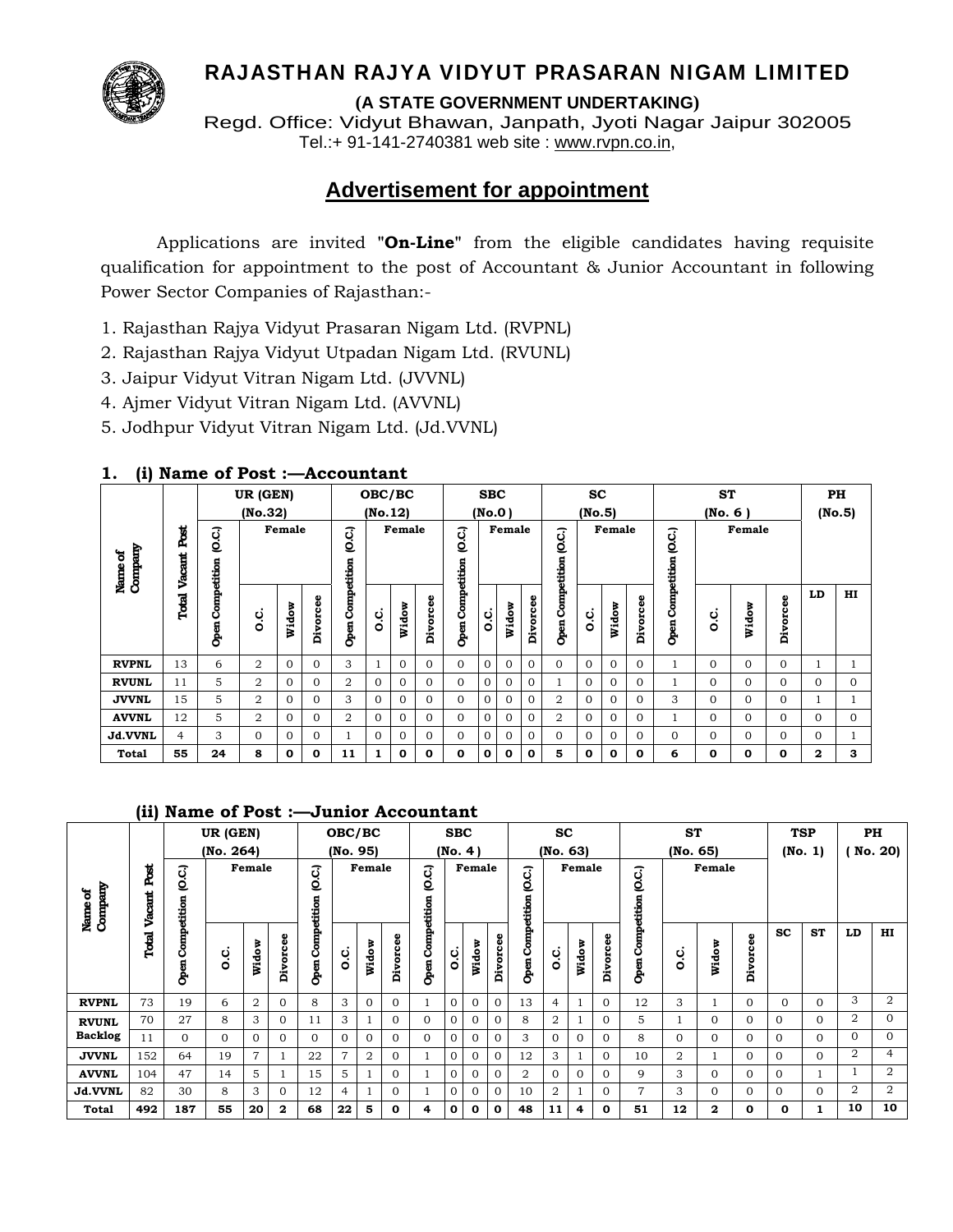

# RAJASTHAN RAJYA VIDYUT PRASARAN NIGAM LIMITED

**(A STATE GOVERNMENT UNDERTAKING)**

Regd. Office: Vidyut Bhawan, Janpath, Jyoti Nagar Jaipur 302005 Tel.:+ 91-141-2740381 web site : www.rvpn.co.in,

# **Advertisement for appointment**

 Applications are invited **"On-Line"** from the eligible candidates having requisite qualification for appointment to the post of Accountant & Junior Accountant in following Power Sector Companies of Rajasthan:-

- 1. Rajasthan Rajya Vidyut Prasaran Nigam Ltd. (RVPNL)
- 2. Rajasthan Rajya Vidyut Utpadan Nigam Ltd. (RVUNL)
- 3. Jaipur Vidyut Vitran Nigam Ltd. (JVVNL)
- 4. Ajmer Vidyut Vitran Nigam Ltd. (AVVNL)
- 5. Jodhpur Vidyut Vitran Nigam Ltd. (Jd.VVNL)

### **1. (i) Name of Post :—Accountant**

| $\cdot$ $\cdot$      |             | UR (GEN)<br>(No.32) |                |              | OBC/BC<br>(No.12) |                  |          |              | <b>SBC</b><br>(No.0) |                     |             | <b>SC</b><br>(No.5) |              |                     |          | <b>ST</b><br>(No. 6) |              |                     |          |          | PH<br>(No.5) |              |          |
|----------------------|-------------|---------------------|----------------|--------------|-------------------|------------------|----------|--------------|----------------------|---------------------|-------------|---------------------|--------------|---------------------|----------|----------------------|--------------|---------------------|----------|----------|--------------|--------------|----------|
| Company<br>៵<br>Name | Ž<br>Vacant | ιος                 |                | Female       |                   | G.C.             |          | Female       |                      | (O.C.)              |             | Female              |              | (O.C.)              |          | Female               |              | (O.C.               |          | Female   |              |              |          |
|                      | Total       | Competition<br>Open | o.c            | Widow        | Divorcee          | Open Competition | c.c      | Widow        | Divorcee             | Competition<br>Open | c.<br>O     | ँ<br>Ř              | Divorcee     | Competition<br>Open | o.c      | Widow                | Divorcee     | Competition<br>Open | c.<br>O  | Widow    | Divorcee     | LD           | HI       |
| <b>RVPNL</b>         | 13          | 6                   | 2              | $\Omega$     | 0                 | 3                |          | $\mathbf{0}$ | $\Omega$             | $\Omega$            | $\Omega$    | $\Omega$            | $\Omega$     | $\Omega$            | $\Omega$ | $\Omega$             | $\mathbf{0}$ |                     | $\Omega$ | 0        | $\Omega$     |              |          |
| <b>RVUNL</b>         | 11          | 5                   | 2              | $\Omega$     | 0                 | 2                | $\Omega$ | $\Omega$     | $\Omega$             | $\Omega$            | $\Omega$    | $\Omega$            | $\Omega$     |                     | $\Omega$ | $\Omega$             | $\Omega$     |                     | $\Omega$ | 0        | $\Omega$     | $\Omega$     | $\Omega$ |
| <b>JVVNL</b>         | 15          | 5                   | $\overline{2}$ | $\Omega$     | 0                 | 3                | $\Omega$ | $\Omega$     | 0                    | $\Omega$            | $\Omega$    | $\Omega$            | $\Omega$     | $\overline{2}$      | $\Omega$ | $\Omega$             | $\Omega$     | 3                   | $\Omega$ | $\Omega$ | $\Omega$     |              |          |
| <b>AVVNL</b>         | 12          | 5                   | 2              | $\Omega$     | 0                 | $\overline{2}$   | $\Omega$ | $\Omega$     | $\Omega$             | $\Omega$            | $\Omega$    | 0                   | $\Omega$     | 2                   | $\Omega$ | $\Omega$             | $\Omega$     |                     | $\Omega$ | 0        | $\Omega$     | $\Omega$     | 0        |
| Jd.VVNL              | 4           | 3                   | $\Omega$       | $\Omega$     | 0                 |                  | $\Omega$ | $\Omega$     | 0                    | $\Omega$            | $\Omega$    | $\Omega$            | $\Omega$     | $\Omega$            | $\Omega$ | $\Omega$             | $\Omega$     | $\Omega$            | $\Omega$ | 0        | $\Omega$     | $\Omega$     |          |
| <b>Total</b>         | 55          | 24                  | 8              | $\mathbf{o}$ | 0                 | 11               |          | $\mathbf{o}$ | 0                    | 0                   | $\mathbf 0$ | 0                   | $\mathbf{o}$ | 5                   | 0        | $\mathbf{o}$         | $\mathbf{o}$ | 6                   | 0        | 0        | $\bf{0}$     | $\mathbf{2}$ | 3        |

### **(ii) Name of Post :—Junior Accountant**

|                    |         | UR (GEN)            |           |                | OBC/BC       |                  |          | <b>SBC</b><br>(No. 4) |              |                     |              | <b>SC</b><br>(No. 63) |                |              |                | <b>ST</b>    |             |               |              | <b>TSP</b>   |                  | PH           |           |                |                |
|--------------------|---------|---------------------|-----------|----------------|--------------|------------------|----------|-----------------------|--------------|---------------------|--------------|-----------------------|----------------|--------------|----------------|--------------|-------------|---------------|--------------|--------------|------------------|--------------|-----------|----------------|----------------|
|                    | .<br>Ro | Ο.C.                | (No. 264) | Female         |              | C.C.             | (No. 95) | Female                |              | C.C.                |              | Female                |                | C.C.         |                | Female       |             | (O.C.)        | (No. 65)     | Female       |                  |              | (No. 1)   |                | No. 20)        |
| Name of<br>Company | Vacant  |                     |           |                |              |                  |          |                       |              |                     |              |                       |                | etition      |                |              |             | etitio        |              |              |                  |              |           |                |                |
|                    | Total   | Competition<br>Open | ن<br>ة    | Widow          | Φ<br>Divorce | Open Competition | ڹ<br>٥   | Widow                 | ω<br>Divorce | Competition<br>Open | c.<br>O      | Widow                 | Divorcee       | Comp<br>Open | c.c            | Widow        | Divorcee    | Ê<br>O<br>န္မ | o.c          | Widow        | Φ<br>ō<br>ō<br>à | <b>SC</b>    | <b>ST</b> | LD             | HI             |
| <b>RVPNL</b>       | 73      | 19                  | 6         | 2              | $\mathbf{0}$ | 8                | 3        | $\overline{0}$        | $\mathbf{0}$ |                     | $\mathbf{0}$ | $\Omega$              | $\Omega$       | 13           | $\overline{4}$ |              | $\Omega$    | 12            | 3            |              | $\mathbf{0}$     | $\Omega$     | $\Omega$  | 3              | 2              |
| <b>RVUNL</b>       | 70      | 27                  | 8         | 3              | $\mathbf{0}$ | 11               | 3        |                       | $\mathbf{0}$ | $\mathbf{0}$        | $\mathbf{0}$ | $\mathbf{0}$          | $\mathbf{0}$   | 8            | 2              |              | 0           | 5             |              | $\Omega$     | $\Omega$         | $\mathbf{0}$ | $\Omega$  | 2              | $\Omega$       |
| <b>Backlog</b>     | 11      | $\Omega$            | $\Omega$  | 0              | $\mathbf{0}$ | $\Omega$         | $\Omega$ | $\Omega$              | $\Omega$     | $\mathbf{0}$        | $\mathbf{0}$ | $\Omega$              | $\Omega$       | 3            | $\mathbf{0}$   | $\mathbf{0}$ | $\Omega$    | 8             | $\mathbf{0}$ | $\Omega$     | $\Omega$         | $\Omega$     | $\Omega$  | $\overline{0}$ | 0              |
| <b>JVVNL</b>       | 152     | 64                  | 19        | $\overline{7}$ |              | 22               | 7        | 2                     | $\mathbf{0}$ |                     | $\mathbf{0}$ | $\mathbf{0}$          | $\overline{0}$ | 12           | 3              |              | $\Omega$    | 10            | 2            |              | $\Omega$         | $\Omega$     | $\Omega$  | $\overline{2}$ | $\overline{4}$ |
| <b>AVVNL</b>       | 104     | 47                  | 14        | $5^{\circ}$    |              | 15               | 5        |                       | $\mathbf{0}$ |                     | $\mathbf{0}$ | $\Omega$              | $\Omega$       | 2            | $\mathbf{0}$   | $\mathbf{0}$ | $\Omega$    | q             | 3            | $\Omega$     | $\mathbf{0}$     | $\Omega$     |           |                | 2              |
| Jd.VVNL            | 82      | 30                  | 8         | 3              | $\mathbf{0}$ | 12               | 4        |                       | $\mathbf{0}$ |                     | $\mathbf{0}$ | $\mathbf{0}$          | $\overline{0}$ | 10           | 2              |              | $\Omega$    | 7             | 3            | $\Omega$     | $\Omega$         | $\Omega$     | $\Omega$  | $\overline{2}$ | $\overline{2}$ |
| Total              | 492     | 187                 | 55        | 20             | $\mathbf{2}$ | 68               | 22       | 5                     | 0            | 4                   | 0            | $\mathbf{o}$          | $\Omega$       | 48           | 11             | 4            | $\mathbf 0$ | 51            | 12           | $\mathbf{2}$ | $\mathbf 0$      | $\mathbf{o}$ | 1         | 10             | 10             |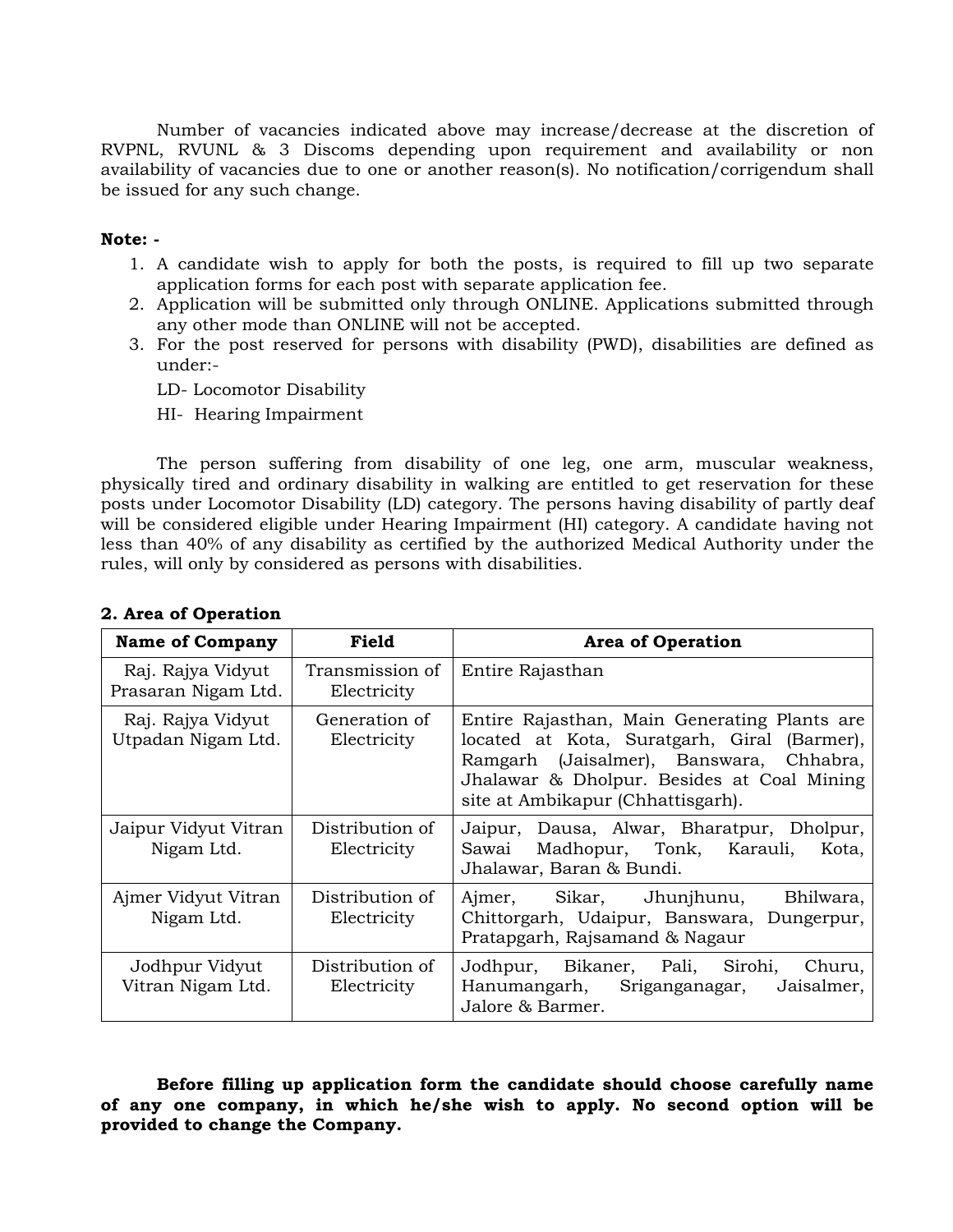Number of vacancies indicated above may increase/decrease at the discretion of RVPNL, RVUNL & 3 Discoms depending upon requirement and availability or non availability of vacancies due to one or another reason(s). No notification/corrigendum shall be issued for any such change.

### **Note: -**

- 1. A candidate wish to apply for both the posts, is required to fill up two separate application forms for each post with separate application fee.
- 2. Application will be submitted only through ONLINE. Applications submitted through any other mode than ONLINE will not be accepted.
- 3. For the post reserved for persons with disability (PWD), disabilities are defined as under:-
	- LD- Locomotor Disability
	- HI- Hearing Impairment

The person suffering from disability of one leg, one arm, muscular weakness, physically tired and ordinary disability in walking are entitled to get reservation for these posts under Locomotor Disability (LD) category. The persons having disability of partly deaf will be considered eligible under Hearing Impairment (HI) category. A candidate having not less than 40% of any disability as certified by the authorized Medical Authority under the rules, will only by considered as persons with disabilities.

| <b>Name of Company</b>                   | Field                          | <b>Area of Operation</b>                                                                                                                                                                                                   |
|------------------------------------------|--------------------------------|----------------------------------------------------------------------------------------------------------------------------------------------------------------------------------------------------------------------------|
| Raj. Rajya Vidyut<br>Prasaran Nigam Ltd. | Transmission of<br>Electricity | Entire Rajasthan                                                                                                                                                                                                           |
| Raj. Rajya Vidyut<br>Utpadan Nigam Ltd.  | Generation of<br>Electricity   | Entire Rajasthan, Main Generating Plants are.<br>located at Kota, Suratgarh, Giral (Barmer),<br>Ramgarh (Jaisalmer), Banswara, Chhabra,<br>Jhalawar & Dholpur. Besides at Coal Mining<br>site at Ambikapur (Chhattisgarh). |
| Jaipur Vidyut Vitran<br>Nigam Ltd.       | Distribution of<br>Electricity | Dausa, Alwar, Bharatpur, Dholpur,<br>Jaipur,<br>Madhopur, Tonk, Karauli,<br>Sawai<br>Kota,<br>Jhalawar, Baran & Bundi.                                                                                                     |
| Ajmer Vidyut Vitran<br>Nigam Ltd.        | Distribution of<br>Electricity | Ajmer, Sikar, Jhunjhunu,<br>Bhilwara,<br>Chittorgarh, Udaipur, Banswara, Dungerpur,<br>Pratapgarh, Rajsamand & Nagaur                                                                                                      |
| Jodhpur Vidyut<br>Vitran Nigam Ltd.      | Distribution of<br>Electricity | Jodhpur, Bikaner, Pali, Sirohi,<br>Churu,<br>Jaisalmer,<br>Hanumangarh, Sriganganagar,<br>Jalore & Barmer.                                                                                                                 |

# **2. Area of Operation**

**Before filling up application form the candidate should choose carefully name of any one company, in which he/she wish to apply. No second option will be provided to change the Company.**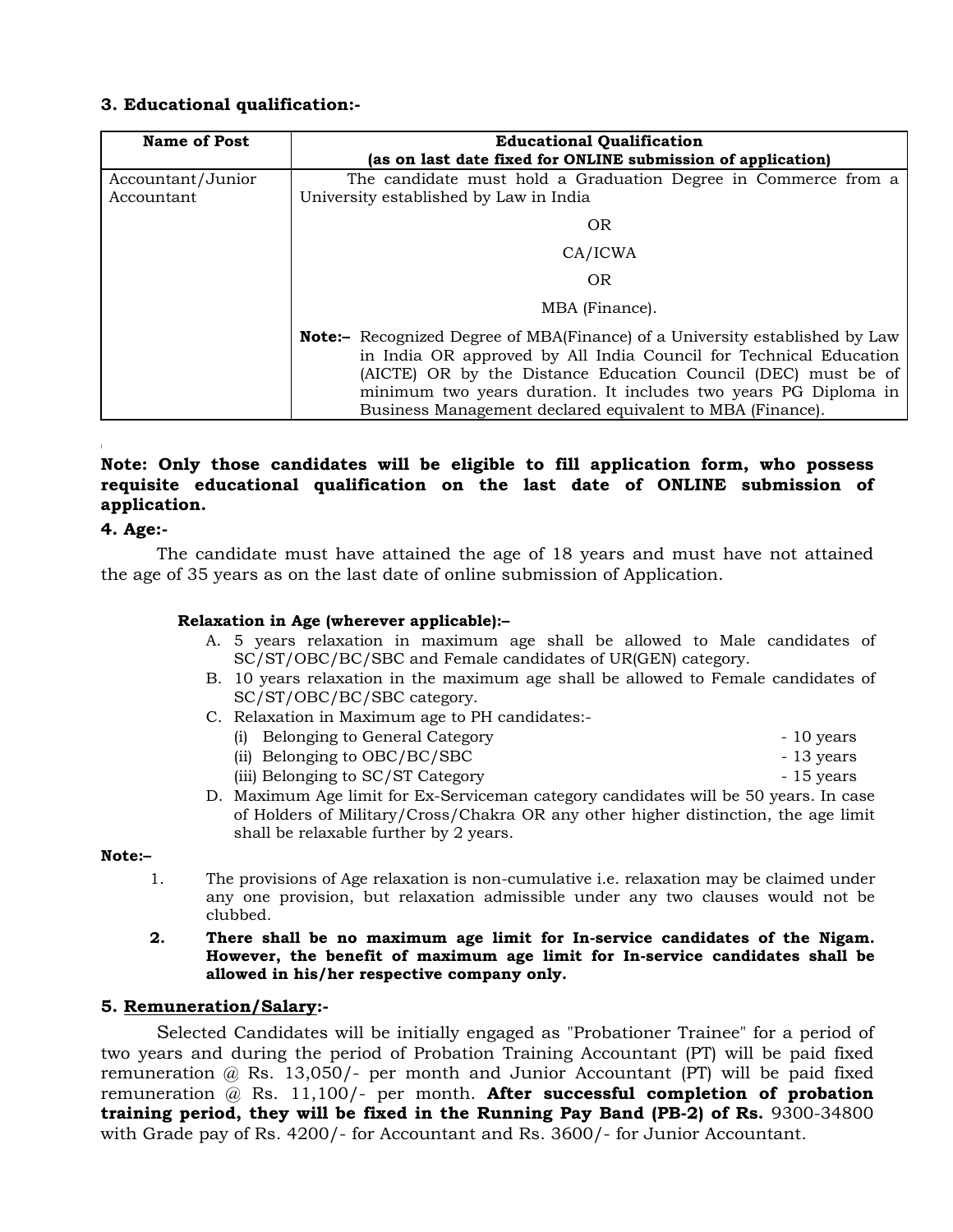# **3. Educational qualification:-**

| <b>Name of Post</b>             | <b>Educational Qualification</b><br>(as on last date fixed for ONLINE submission of application)                                                                                                                                                                                                                                                          |  |  |  |  |  |  |  |  |
|---------------------------------|-----------------------------------------------------------------------------------------------------------------------------------------------------------------------------------------------------------------------------------------------------------------------------------------------------------------------------------------------------------|--|--|--|--|--|--|--|--|
| Accountant/Junior<br>Accountant | The candidate must hold a Graduation Degree in Commerce from a<br>University established by Law in India                                                                                                                                                                                                                                                  |  |  |  |  |  |  |  |  |
|                                 | <b>OR</b>                                                                                                                                                                                                                                                                                                                                                 |  |  |  |  |  |  |  |  |
|                                 | CA/ICWA                                                                                                                                                                                                                                                                                                                                                   |  |  |  |  |  |  |  |  |
|                                 | <b>OR</b>                                                                                                                                                                                                                                                                                                                                                 |  |  |  |  |  |  |  |  |
|                                 | MBA (Finance).                                                                                                                                                                                                                                                                                                                                            |  |  |  |  |  |  |  |  |
|                                 | <b>Note:</b> - Recognized Degree of MBA(Finance) of a University established by Law<br>in India OR approved by All India Council for Technical Education<br>(AICTE) OR by the Distance Education Council (DEC) must be of<br>minimum two years duration. It includes two years PG Diploma in<br>Business Management declared equivalent to MBA (Finance). |  |  |  |  |  |  |  |  |

# **Note: Only those candidates will be eligible to fill application form, who possess requisite educational qualification on the last date of ONLINE submission of application.**

### **4. Age:-**

The candidate must have attained the age of 18 years and must have not attained the age of 35 years as on the last date of online submission of Application.

### **Relaxation in Age (wherever applicable):–**

- A. 5 years relaxation in maximum age shall be allowed to Male candidates of SC/ST/OBC/BC/SBC and Female candidates of UR(GEN) category.
- B. 10 years relaxation in the maximum age shall be allowed to Female candidates of SC/ST/OBC/BC/SBC category.
- C. Relaxation in Maximum age to PH candidates:-
	- (i) Belonging to General Category  **10 years** 10 years
	- (ii) Belonging to OBC/BC/SBC 13 years
	- (iii) Belonging to SC/ST Category 15 years
- D. Maximum Age limit for Ex-Serviceman category candidates will be 50 years. In case of Holders of Military/Cross/Chakra OR any other higher distinction, the age limit shall be relaxable further by 2 years.

# **Note:–**

- 1. The provisions of Age relaxation is non-cumulative i.e. relaxation may be claimed under any one provision, but relaxation admissible under any two clauses would not be clubbed.
- **2. There shall be no maximum age limit for In-service candidates of the Nigam. However, the benefit of maximum age limit for In-service candidates shall be allowed in his/her respective company only.**

### **5. Remuneration/Salary:-**

Selected Candidates will be initially engaged as "Probationer Trainee" for a period of two years and during the period of Probation Training Accountant (PT) will be paid fixed remuneration @ Rs. 13,050/- per month and Junior Accountant (PT) will be paid fixed remuneration @ Rs. 11,100/- per month. **After successful completion of probation training period, they will be fixed in the Running Pay Band (PB-2) of Rs.** 9300-34800 with Grade pay of Rs. 4200/- for Accountant and Rs. 3600/- for Junior Accountant.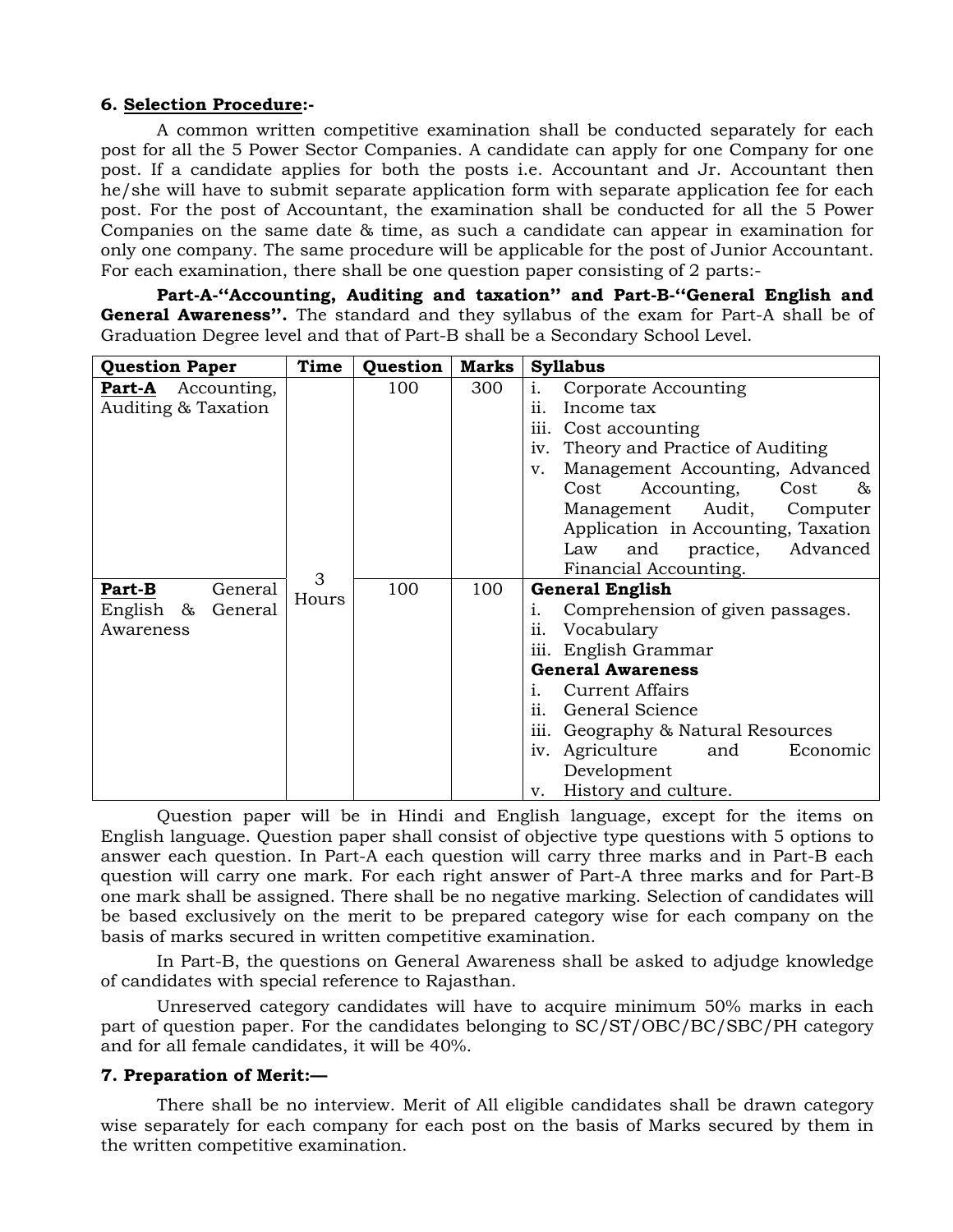#### **6. Selection Procedure:-**

 A common written competitive examination shall be conducted separately for each post for all the 5 Power Sector Companies. A candidate can apply for one Company for one post. If a candidate applies for both the posts i.e. Accountant and Jr. Accountant then he/she will have to submit separate application form with separate application fee for each post. For the post of Accountant, the examination shall be conducted for all the 5 Power Companies on the same date & time, as such a candidate can appear in examination for only one company. The same procedure will be applicable for the post of Junior Accountant. For each examination, there shall be one question paper consisting of 2 parts:-

 **Part-A-''Accounting, Auditing and taxation'' and Part-B-''General English and General Awareness''.** The standard and they syllabus of the exam for Part-A shall be of Graduation Degree level and that of Part-B shall be a Secondary School Level.

| <b>Question Paper</b>     | Time  | Question | <b>Marks</b> | <b>Syllabus</b>                          |
|---------------------------|-------|----------|--------------|------------------------------------------|
| <b>Part-A</b> Accounting, |       | 100      | 300          | Corporate Accounting<br>i.               |
| Auditing & Taxation       |       |          |              | Income tax<br>ii.                        |
|                           |       |          |              | iii.<br>Cost accounting                  |
|                           |       |          |              | Theory and Practice of Auditing<br>iv.   |
|                           |       |          |              | Management Accounting, Advanced<br>V.    |
|                           |       |          |              | Accounting,<br>Cost<br>Cost<br>&         |
|                           |       |          |              | Management<br>Audit,<br>Computer         |
|                           |       |          |              | Application in Accounting, Taxation      |
|                           |       |          |              | and<br>practice,<br>Advanced<br>Law      |
|                           | 3     |          |              | Financial Accounting.                    |
| <b>Part-B</b><br>General  | Hours | 100      | 100          | <b>General English</b>                   |
| English $\&$<br>General   |       |          |              | Comprehension of given passages.<br>i.   |
| Awareness                 |       |          |              | Vocabulary<br>11.                        |
|                           |       |          |              | iii.<br>English Grammar                  |
|                           |       |          |              | <b>General Awareness</b>                 |
|                           |       |          |              | <b>Current Affairs</b><br>$\mathbf{1}$ . |
|                           |       |          |              | ii.<br>General Science                   |
|                           |       |          |              | iii.<br>Geography & Natural Resources    |
|                           |       |          |              | Agriculture<br>and<br>Economic<br>iv.    |
|                           |       |          |              | Development                              |
|                           |       |          |              | History and culture.<br>v.               |

 Question paper will be in Hindi and English language, except for the items on English language. Question paper shall consist of objective type questions with 5 options to answer each question. In Part-A each question will carry three marks and in Part-B each question will carry one mark. For each right answer of Part-A three marks and for Part-B one mark shall be assigned. There shall be no negative marking. Selection of candidates will be based exclusively on the merit to be prepared category wise for each company on the basis of marks secured in written competitive examination.

 In Part-B, the questions on General Awareness shall be asked to adjudge knowledge of candidates with special reference to Rajasthan.

 Unreserved category candidates will have to acquire minimum 50% marks in each part of question paper. For the candidates belonging to SC/ST/OBC/BC/SBC/PH category and for all female candidates, it will be 40%.

#### **7. Preparation of Merit:—**

 There shall be no interview. Merit of All eligible candidates shall be drawn category wise separately for each company for each post on the basis of Marks secured by them in the written competitive examination.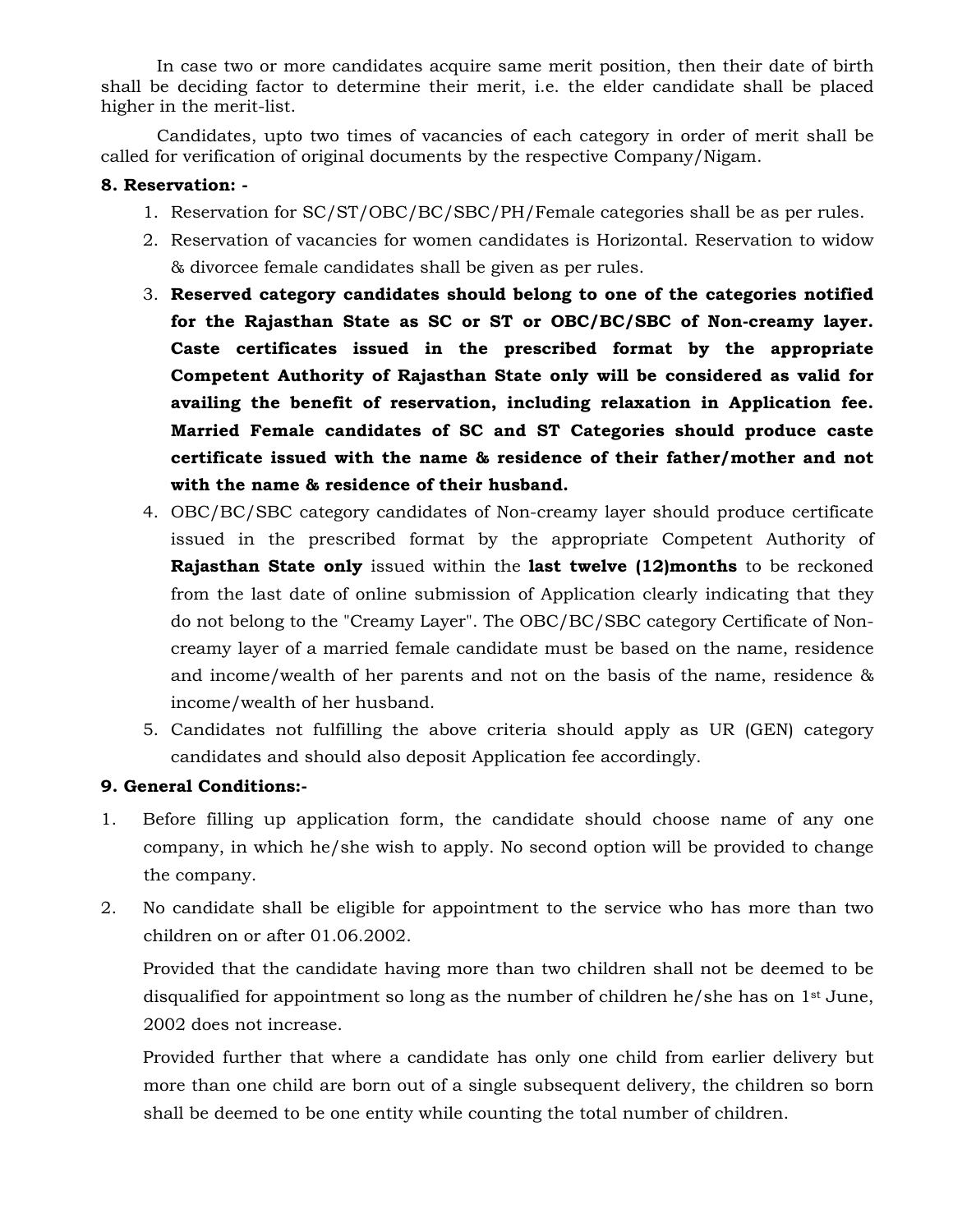In case two or more candidates acquire same merit position, then their date of birth shall be deciding factor to determine their merit, i.e. the elder candidate shall be placed higher in the merit-list.

Candidates, upto two times of vacancies of each category in order of merit shall be called for verification of original documents by the respective Company/Nigam.

# **8. Reservation: -**

- 1. Reservation for SC/ST/OBC/BC/SBC/PH/Female categories shall be as per rules.
- 2. Reservation of vacancies for women candidates is Horizontal. Reservation to widow & divorcee female candidates shall be given as per rules.
- 3. **Reserved category candidates should belong to one of the categories notified for the Rajasthan State as SC or ST or OBC/BC/SBC of Non-creamy layer. Caste certificates issued in the prescribed format by the appropriate Competent Authority of Rajasthan State only will be considered as valid for availing the benefit of reservation, including relaxation in Application fee. Married Female candidates of SC and ST Categories should produce caste certificate issued with the name & residence of their father/mother and not with the name & residence of their husband.**
- 4. OBC/BC/SBC category candidates of Non-creamy layer should produce certificate issued in the prescribed format by the appropriate Competent Authority of **Rajasthan State only** issued within the **last twelve (12)months** to be reckoned from the last date of online submission of Application clearly indicating that they do not belong to the "Creamy Layer". The OBC/BC/SBC category Certificate of Noncreamy layer of a married female candidate must be based on the name, residence and income/wealth of her parents and not on the basis of the name, residence & income/wealth of her husband.
- 5. Candidates not fulfilling the above criteria should apply as UR (GEN) category candidates and should also deposit Application fee accordingly.

# **9. General Conditions:-**

- 1. Before filling up application form, the candidate should choose name of any one company, in which he/she wish to apply. No second option will be provided to change the company.
- 2. No candidate shall be eligible for appointment to the service who has more than two children on or after 01.06.2002.

 Provided that the candidate having more than two children shall not be deemed to be disqualified for appointment so long as the number of children he/she has on 1st June, 2002 does not increase.

 Provided further that where a candidate has only one child from earlier delivery but more than one child are born out of a single subsequent delivery, the children so born shall be deemed to be one entity while counting the total number of children.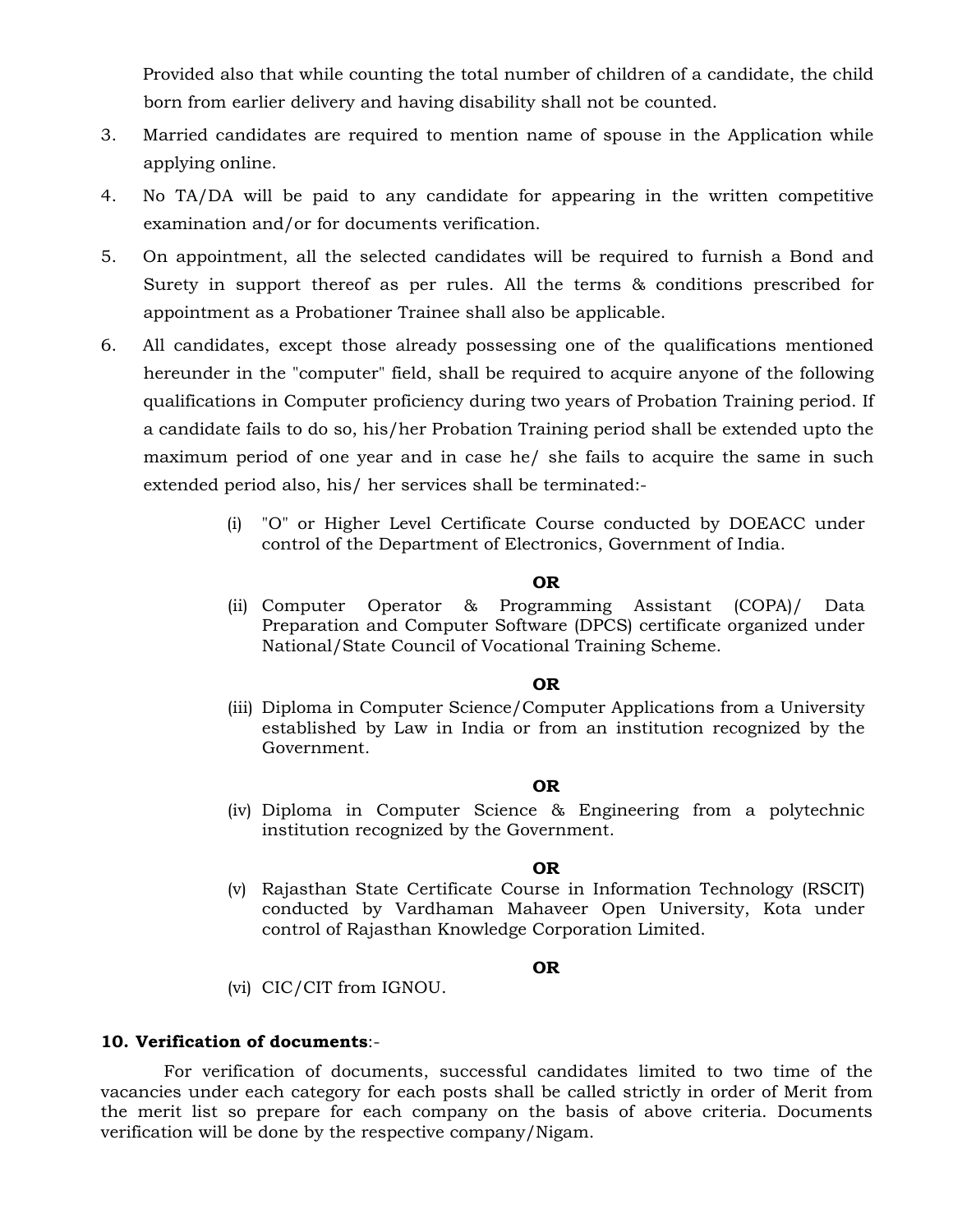Provided also that while counting the total number of children of a candidate, the child born from earlier delivery and having disability shall not be counted.

- 3. Married candidates are required to mention name of spouse in the Application while applying online.
- 4. No TA/DA will be paid to any candidate for appearing in the written competitive examination and/or for documents verification.
- 5. On appointment, all the selected candidates will be required to furnish a Bond and Surety in support thereof as per rules. All the terms & conditions prescribed for appointment as a Probationer Trainee shall also be applicable.
- 6. All candidates, except those already possessing one of the qualifications mentioned hereunder in the "computer" field, shall be required to acquire anyone of the following qualifications in Computer proficiency during two years of Probation Training period. If a candidate fails to do so, his/her Probation Training period shall be extended upto the maximum period of one year and in case he/ she fails to acquire the same in such extended period also, his/ her services shall be terminated:-
	- (i) "O" or Higher Level Certificate Course conducted by DOEACC under control of the Department of Electronics, Government of India.

#### **OR**

(ii) Computer Operator & Programming Assistant (COPA)/ Data Preparation and Computer Software (DPCS) certificate organized under National/State Council of Vocational Training Scheme.

### **OR**

(iii) Diploma in Computer Science/Computer Applications from a University established by Law in India or from an institution recognized by the Government.

### **OR**

(iv) Diploma in Computer Science & Engineering from a polytechnic institution recognized by the Government.

### **OR**

(v) Rajasthan State Certificate Course in Information Technology (RSCIT) conducted by Vardhaman Mahaveer Open University, Kota under control of Rajasthan Knowledge Corporation Limited.

### **OR**

(vi) CIC/CIT from IGNOU.

### **10. Verification of documents**:-

 For verification of documents, successful candidates limited to two time of the vacancies under each category for each posts shall be called strictly in order of Merit from the merit list so prepare for each company on the basis of above criteria. Documents verification will be done by the respective company/Nigam.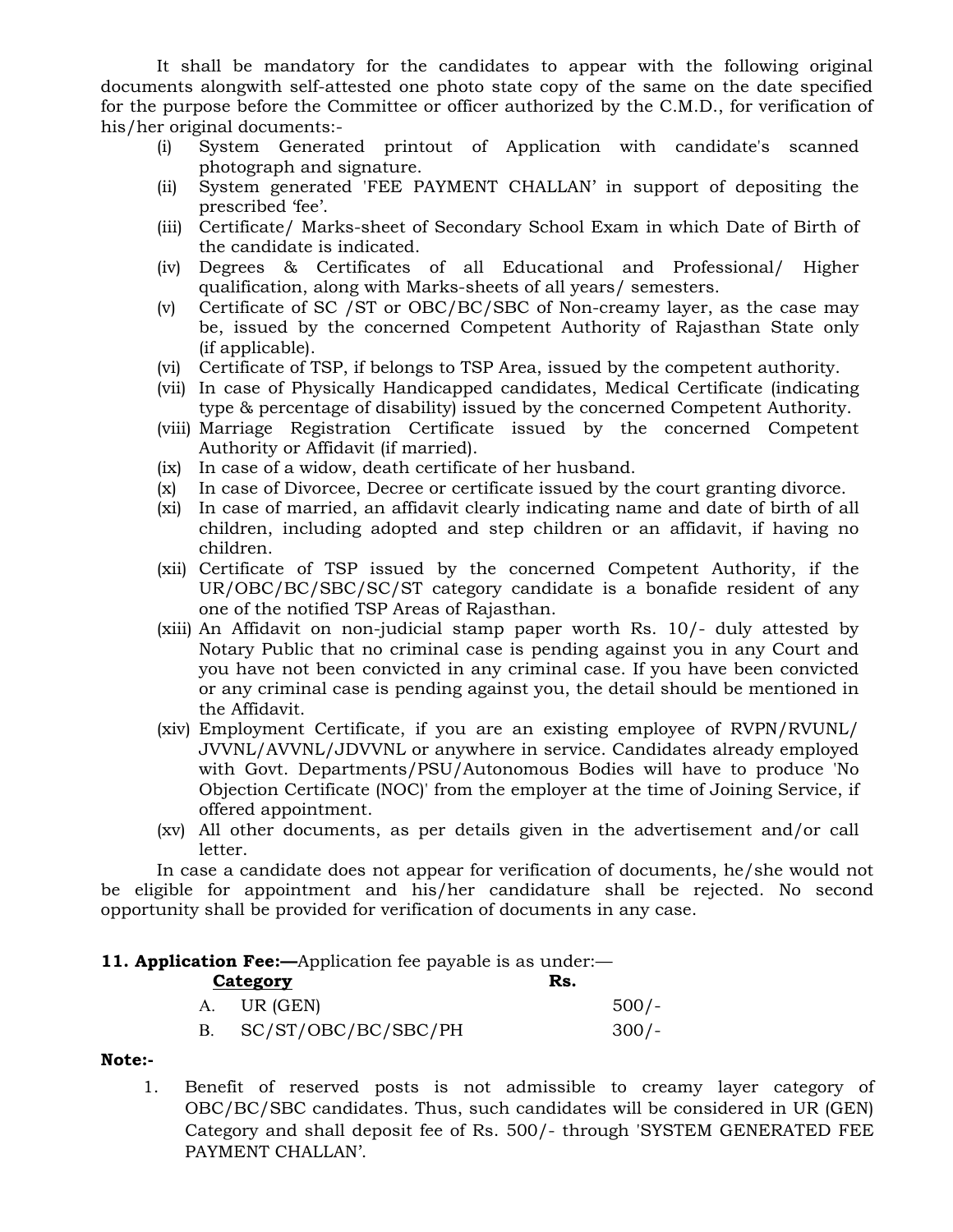It shall be mandatory for the candidates to appear with the following original documents alongwith self-attested one photo state copy of the same on the date specified for the purpose before the Committee or officer authorized by the C.M.D., for verification of his/her original documents:-

- (i) System Generated printout of Application with candidate's scanned photograph and signature.
- (ii) System generated 'FEE PAYMENT CHALLAN' in support of depositing the prescribed 'fee'.
- (iii) Certificate/ Marks-sheet of Secondary School Exam in which Date of Birth of the candidate is indicated.
- (iv) Degrees & Certificates of all Educational and Professional/ Higher qualification, along with Marks-sheets of all years/ semesters.
- (v) Certificate of SC /ST or OBC/BC/SBC of Non-creamy layer, as the case may be, issued by the concerned Competent Authority of Rajasthan State only (if applicable).
- (vi) Certificate of TSP, if belongs to TSP Area, issued by the competent authority.
- (vii) In case of Physically Handicapped candidates, Medical Certificate (indicating type & percentage of disability) issued by the concerned Competent Authority.
- (viii) Marriage Registration Certificate issued by the concerned Competent Authority or Affidavit (if married).
- (ix) In case of a widow, death certificate of her husband.
- (x) In case of Divorcee, Decree or certificate issued by the court granting divorce.
- (xi) In case of married, an affidavit clearly indicating name and date of birth of all children, including adopted and step children or an affidavit, if having no children.
- (xii) Certificate of TSP issued by the concerned Competent Authority, if the UR/OBC/BC/SBC/SC/ST category candidate is a bonafide resident of any one of the notified TSP Areas of Rajasthan.
- (xiii) An Affidavit on non-judicial stamp paper worth Rs. 10/- duly attested by Notary Public that no criminal case is pending against you in any Court and you have not been convicted in any criminal case. If you have been convicted or any criminal case is pending against you, the detail should be mentioned in the Affidavit.
- (xiv) Employment Certificate, if you are an existing employee of RVPN/RVUNL/ JVVNL/AVVNL/JDVVNL or anywhere in service. Candidates already employed with Govt. Departments/PSU/Autonomous Bodies will have to produce 'No Objection Certificate (NOC)' from the employer at the time of Joining Service, if offered appointment.
- (xv) All other documents, as per details given in the advertisement and/or call letter.

 In case a candidate does not appear for verification of documents, he/she would not be eligible for appointment and his/her candidature shall be rejected. No second opportunity shall be provided for verification of documents in any case.

### **11. Application Fee:**—Application fee payable is as under:—

| <b>Category</b>     | Rs. |         |
|---------------------|-----|---------|
| A. UR (GEN)         |     | $500/-$ |
| SC/ST/OBC/BC/SBC/PH |     | $300/-$ |

### **Note:-**

 1. Benefit of reserved posts is not admissible to creamy layer category of OBC/BC/SBC candidates. Thus, such candidates will be considered in UR (GEN) Category and shall deposit fee of Rs. 500/- through 'SYSTEM GENERATED FEE PAYMENT CHALLAN'.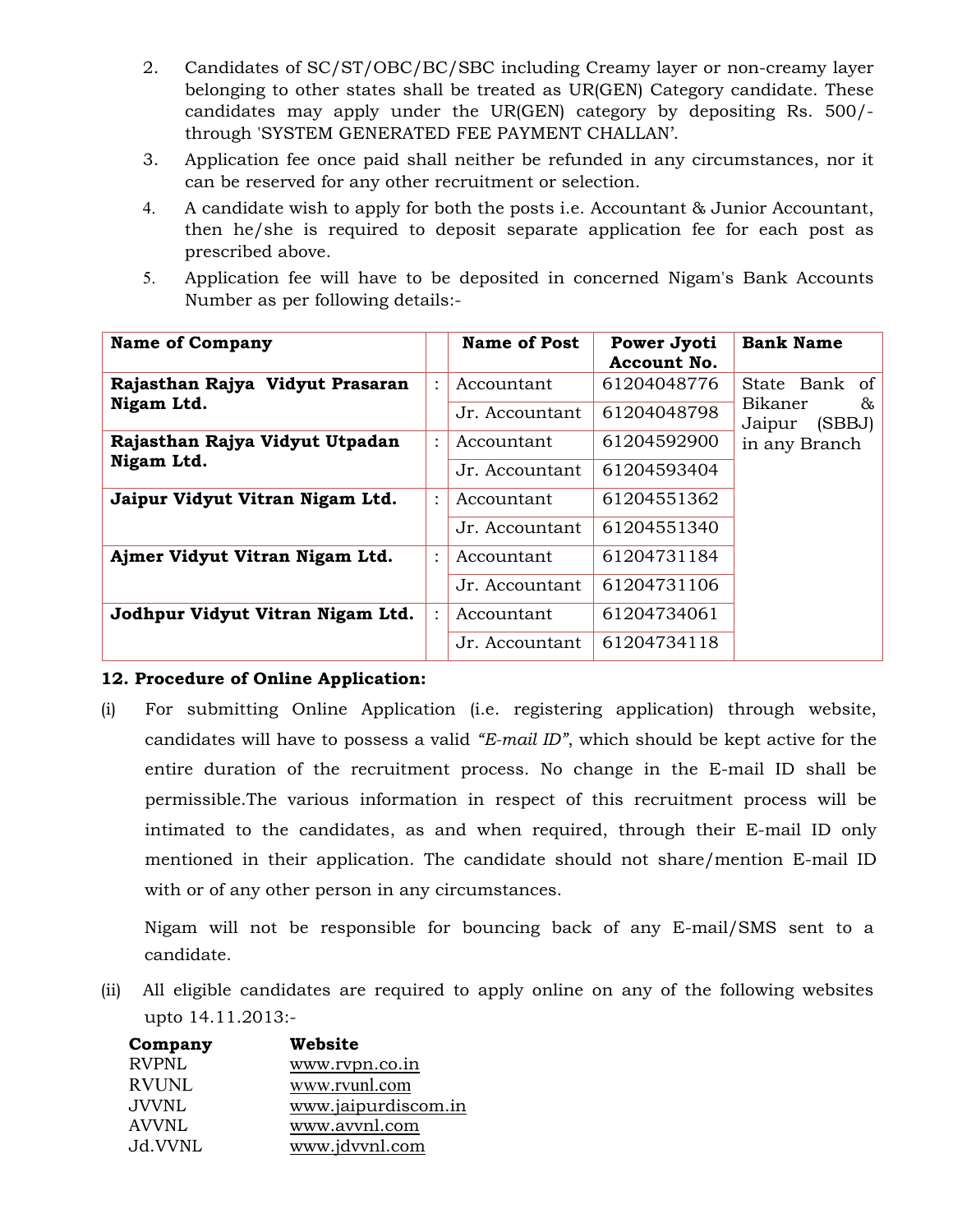- 2. Candidates of SC/ST/OBC/BC/SBC including Creamy layer or non-creamy layer belonging to other states shall be treated as UR(GEN) Category candidate. These candidates may apply under the UR(GEN) category by depositing Rs. 500/ through 'SYSTEM GENERATED FEE PAYMENT CHALLAN'.
- 3. Application fee once paid shall neither be refunded in any circumstances, nor it can be reserved for any other recruitment or selection.
- 4. A candidate wish to apply for both the posts i.e. Accountant & Junior Accountant, then he/she is required to deposit separate application fee for each post as prescribed above.
- 5. Application fee will have to be deposited in concerned Nigam's Bank Accounts Number as per following details:-

| <b>Name of Company</b>           |                | <b>Name of Post</b> | Power Jyoti<br>Account No. | <b>Bank Name</b>                 |
|----------------------------------|----------------|---------------------|----------------------------|----------------------------------|
| Rajasthan Rajya Vidyut Prasaran  | $\ddot{\cdot}$ | Accountant          | 61204048776                | State Bank of                    |
| Nigam Ltd.                       |                | Jr. Accountant      | 61204048798                | Bikaner<br>&<br>(SBBJ)<br>Jaipur |
| Rajasthan Rajya Vidyut Utpadan   | $\ddot{\cdot}$ | Accountant          | 61204592900                | in any Branch                    |
| Nigam Ltd.                       |                | Jr. Accountant      | 61204593404                |                                  |
| Jaipur Vidyut Vitran Nigam Ltd.  |                | Accountant          | 61204551362                |                                  |
|                                  |                | Jr. Accountant      | 61204551340                |                                  |
| Ajmer Vidyut Vitran Nigam Ltd.   | $\ddot{\cdot}$ | Accountant          | 61204731184                |                                  |
|                                  |                | Jr. Accountant      | 61204731106                |                                  |
| Jodhpur Vidyut Vitran Nigam Ltd. | $\ddot{\cdot}$ | Accountant          | 61204734061                |                                  |
|                                  |                | Jr. Accountant      | 61204734118                |                                  |

# **12. Procedure of Online Application:**

(i) For submitting Online Application (i.e. registering application) through website, candidates will have to possess a valid *"E-mail ID"*, which should be kept active for the entire duration of the recruitment process. No change in the E-mail ID shall be permissible.The various information in respect of this recruitment process will be intimated to the candidates, as and when required, through their E-mail ID only mentioned in their application. The candidate should not share/mention E-mail ID with or of any other person in any circumstances.

 Nigam will not be responsible for bouncing back of any E-mail/SMS sent to a candidate.

(ii) All eligible candidates are required to apply online on any of the following websites upto 14.11.2013:-

| Company      | Website             |
|--------------|---------------------|
| <b>RVPNL</b> | www.rvpn.co.in      |
| <b>RVUNL</b> | www.rvunl.com       |
| <b>JVVNL</b> | www.jaipurdiscom.in |
| <b>AVVNL</b> | www.avvnl.com       |
| Jd.VVNL      | www.jdvvnl.com      |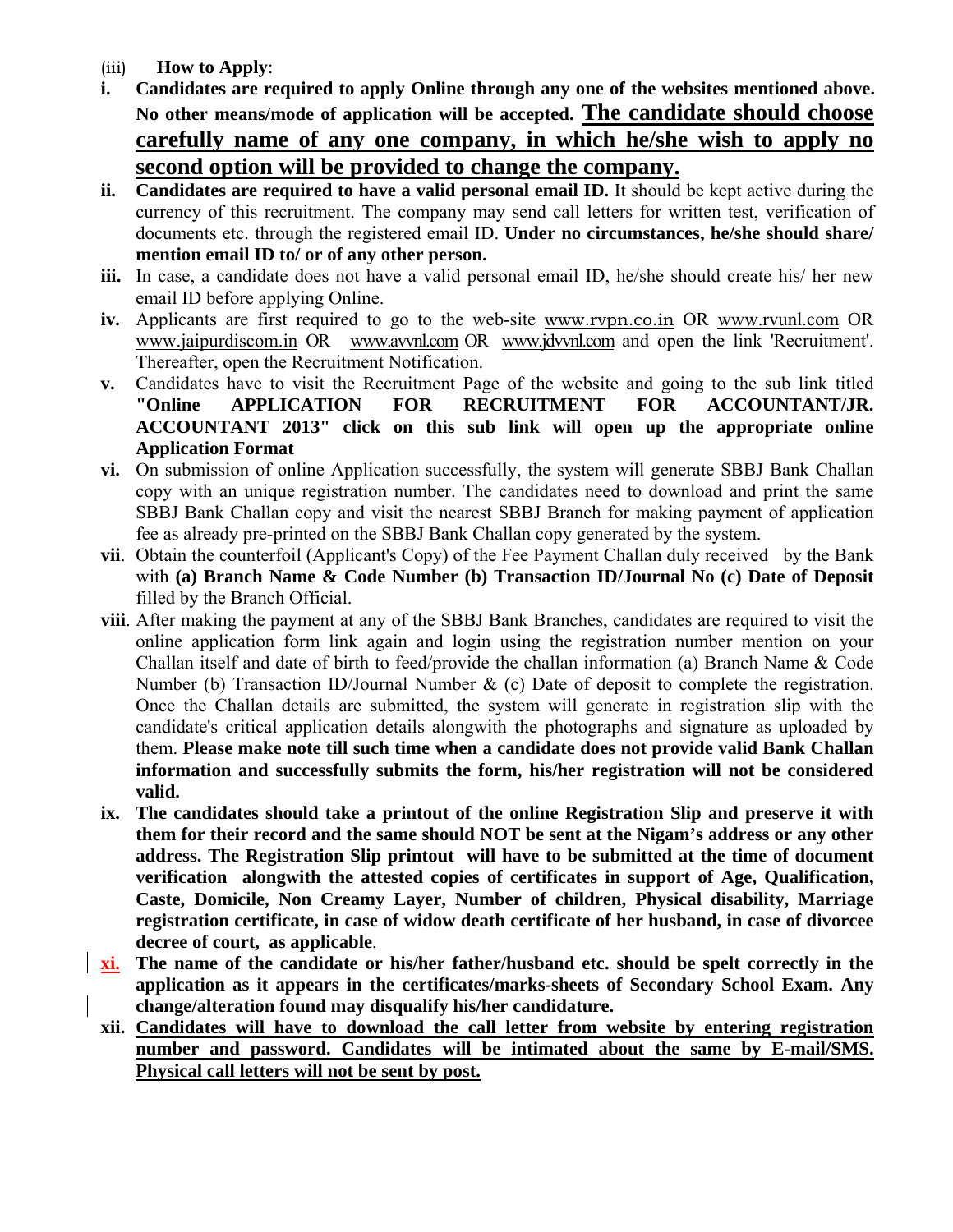- (iii) **How to Apply**:
- **i. Candidates are required to apply Online through any one of the websites mentioned above. No other means/mode of application will be accepted. The candidate should choose carefully name of any one company, in which he/she wish to apply no second option will be provided to change the company.**
- **ii. Candidates are required to have a valid personal email ID.** It should be kept active during the currency of this recruitment. The company may send call letters for written test, verification of documents etc. through the registered email ID. **Under no circumstances, he/she should share/ mention email ID to/ or of any other person.**
- **iii.** In case, a candidate does not have a valid personal email ID, he/she should create his/ her new email ID before applying Online.
- **iv.** Applicants are first required to go to the web-site www.rvpn.co.in OR www.rvunl.com OR www.jaipurdiscom.in OR www.avvnl.com OR www.jdvvnl.com and open the link 'Recruitment'. Thereafter, open the Recruitment Notification.
- **v.** Candidates have to visit the Recruitment Page of the website and going to the sub link titled **"Online APPLICATION FOR RECRUITMENT FOR ACCOUNTANT/JR. ACCOUNTANT 2013" click on this sub link will open up the appropriate online Application Format**
- **vi.** On submission of online Application successfully, the system will generate SBBJ Bank Challan copy with an unique registration number. The candidates need to download and print the same SBBJ Bank Challan copy and visit the nearest SBBJ Branch for making payment of application fee as already pre-printed on the SBBJ Bank Challan copy generated by the system.
- **vii**. Obtain the counterfoil (Applicant's Copy) of the Fee Payment Challan duly received by the Bank with **(a) Branch Name & Code Number (b) Transaction ID/Journal No (c) Date of Deposit**  filled by the Branch Official.
- **viii**. After making the payment at any of the SBBJ Bank Branches, candidates are required to visit the online application form link again and login using the registration number mention on your Challan itself and date of birth to feed/provide the challan information (a) Branch Name & Code Number (b) Transaction ID/Journal Number & (c) Date of deposit to complete the registration. Once the Challan details are submitted, the system will generate in registration slip with the candidate's critical application details alongwith the photographs and signature as uploaded by them. **Please make note till such time when a candidate does not provide valid Bank Challan information and successfully submits the form, his/her registration will not be considered valid.**
- **ix. The candidates should take a printout of the online Registration Slip and preserve it with them for their record and the same should NOT be sent at the Nigam's address or any other address. The Registration Slip printout will have to be submitted at the time of document verification alongwith the attested copies of certificates in support of Age, Qualification, Caste, Domicile, Non Creamy Layer, Number of children, Physical disability, Marriage registration certificate, in case of widow death certificate of her husband, in case of divorcee decree of court, as applicable**.
- **xi. The name of the candidate or his/her father/husband etc. should be spelt correctly in the application as it appears in the certificates/marks-sheets of Secondary School Exam. Any change/alteration found may disqualify his/her candidature.**
- **xii. Candidates will have to download the call letter from website by entering registration number and password. Candidates will be intimated about the same by E-mail/SMS. Physical call letters will not be sent by post.**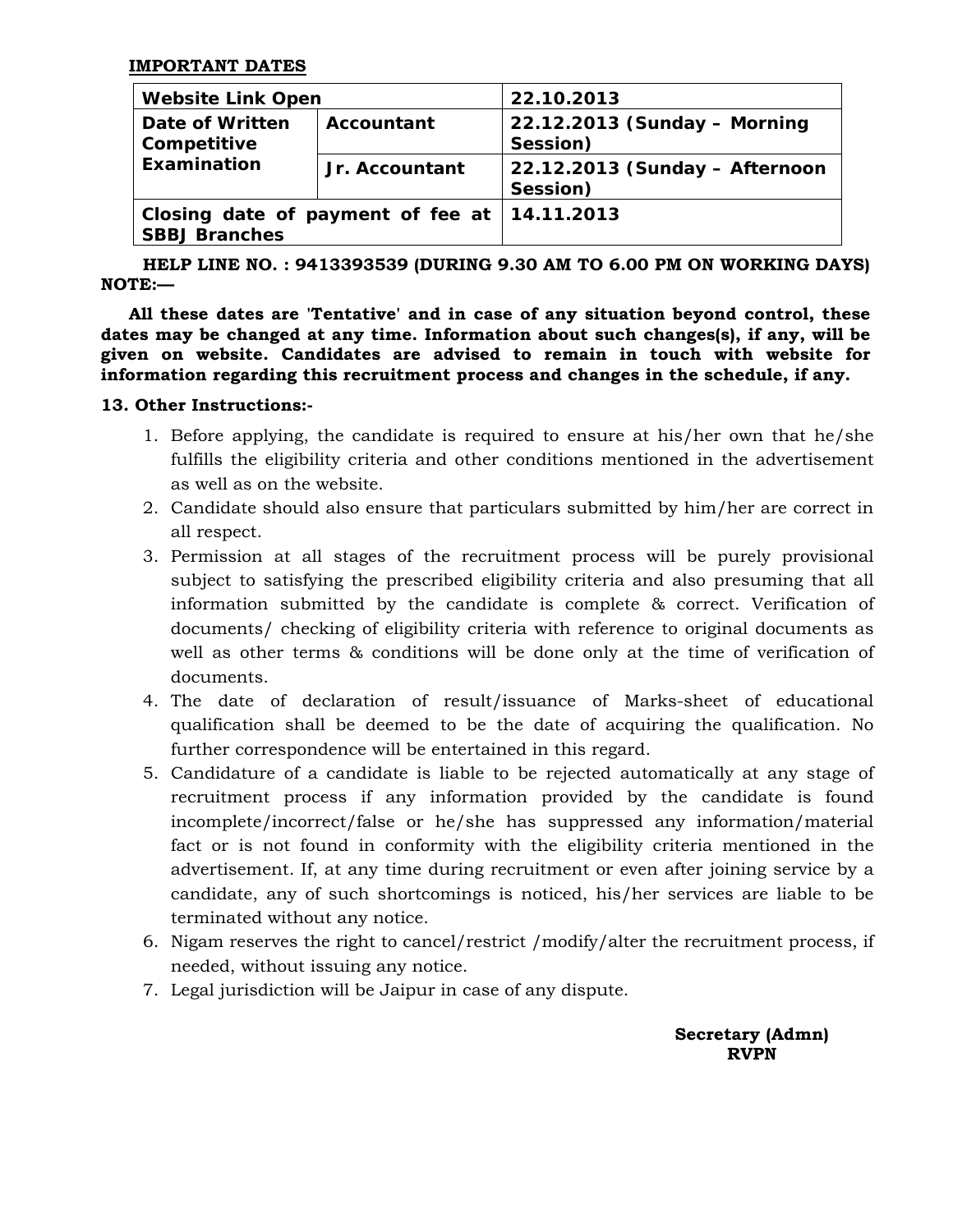| <b>Website Link Open</b>       |                                                | 22.10.2013                                 |  |  |  |
|--------------------------------|------------------------------------------------|--------------------------------------------|--|--|--|
| Date of Written<br>Competitive | Accountant                                     | 22.12.2013 (Sunday - Morning<br>Session)   |  |  |  |
| <b>Examination</b>             | Jr. Accountant                                 | 22.12.2013 (Sunday - Afternoon<br>Session) |  |  |  |
| <b>SBBJ Branches</b>           | Closing date of payment of fee at   14.11.2013 |                                            |  |  |  |

 **HELP LINE NO. : 9413393539 (DURING 9.30 AM TO 6.00 PM ON WORKING DAYS) NOTE:—** 

**All these dates are 'Tentative' and in case of any situation beyond control, these dates may be changed at any time. Information about such changes(s), if any, will be given on website. Candidates are advised to remain in touch with website for information regarding this recruitment process and changes in the schedule, if any.**

### **13. Other Instructions:-**

- 1. Before applying, the candidate is required to ensure at his/her own that he/she fulfills the eligibility criteria and other conditions mentioned in the advertisement as well as on the website.
- 2. Candidate should also ensure that particulars submitted by him/her are correct in all respect.
- 3. Permission at all stages of the recruitment process will be purely provisional subject to satisfying the prescribed eligibility criteria and also presuming that all information submitted by the candidate is complete & correct. Verification of documents/ checking of eligibility criteria with reference to original documents as well as other terms & conditions will be done only at the time of verification of documents.
- 4. The date of declaration of result/issuance of Marks-sheet of educational qualification shall be deemed to be the date of acquiring the qualification. No further correspondence will be entertained in this regard.
- 5. Candidature of a candidate is liable to be rejected automatically at any stage of recruitment process if any information provided by the candidate is found incomplete/incorrect/false or he/she has suppressed any information/material fact or is not found in conformity with the eligibility criteria mentioned in the advertisement. If, at any time during recruitment or even after joining service by a candidate, any of such shortcomings is noticed, his/her services are liable to be terminated without any notice.
- 6. Nigam reserves the right to cancel/restrict /modify/alter the recruitment process, if needed, without issuing any notice.
- 7. Legal jurisdiction will be Jaipur in case of any dispute.

**Secretary (Admn) RVPN**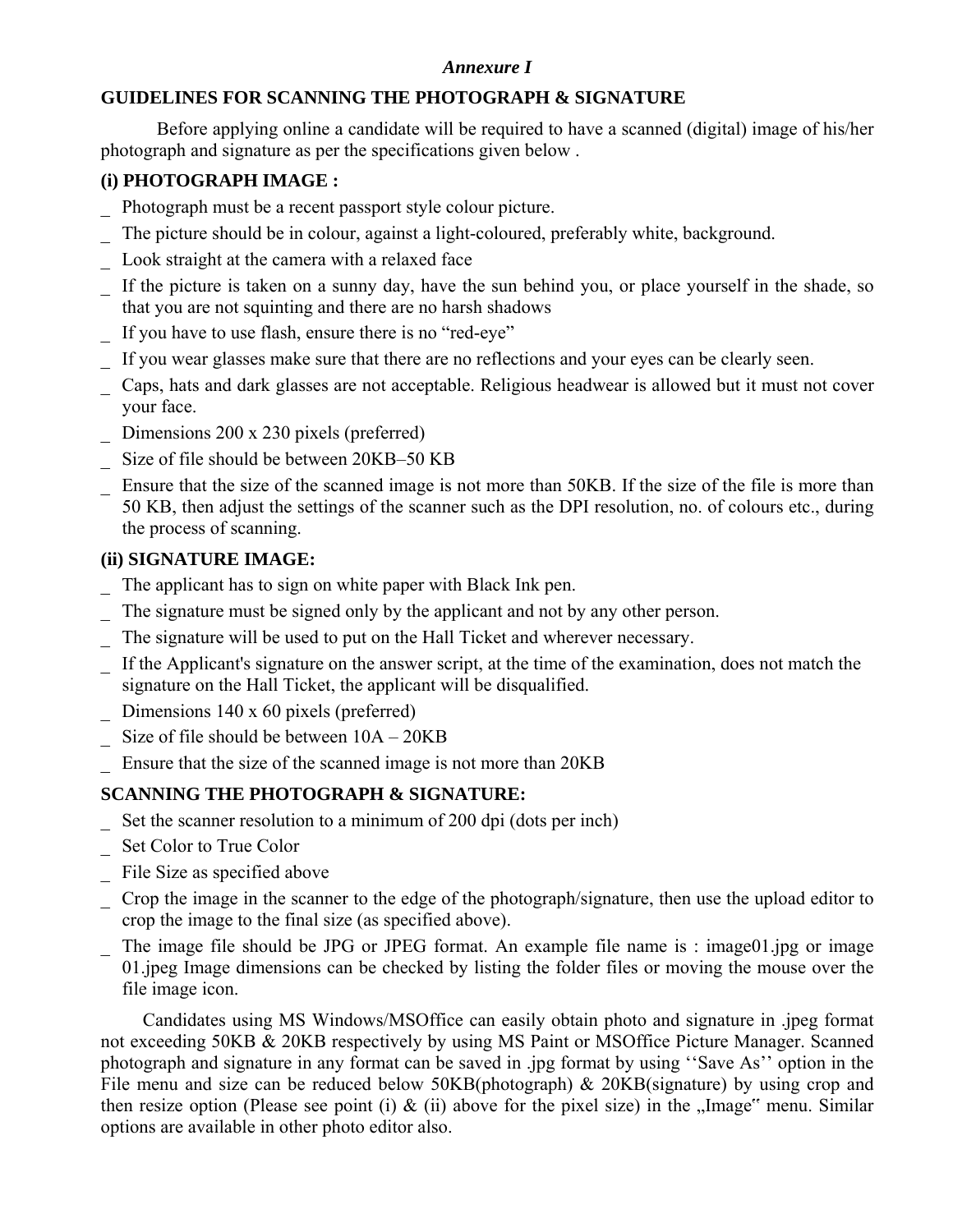# *Annexure I*

# **GUIDELINES FOR SCANNING THE PHOTOGRAPH & SIGNATURE**

Before applying online a candidate will be required to have a scanned (digital) image of his/her photograph and signature as per the specifications given below .

# **(i) PHOTOGRAPH IMAGE :**

- \_ Photograph must be a recent passport style colour picture.
- The picture should be in colour, against a light-coloured, preferably white, background.
- Look straight at the camera with a relaxed face
- If the picture is taken on a sunny day, have the sun behind you, or place yourself in the shade, so that you are not squinting and there are no harsh shadows
- If you have to use flash, ensure there is no "red-eye"
- If you wear glasses make sure that there are no reflections and your eyes can be clearly seen.
- \_ Caps, hats and dark glasses are not acceptable. Religious headwear is allowed but it must not cover your face.
- Dimensions 200 x 230 pixels (preferred)
- Size of file should be between 20KB–50 KB
- Ensure that the size of the scanned image is not more than 50KB. If the size of the file is more than 50 KB, then adjust the settings of the scanner such as the DPI resolution, no. of colours etc., during the process of scanning.

# **(ii) SIGNATURE IMAGE:**

\_ The applicant has to sign on white paper with Black Ink pen.

- The signature must be signed only by the applicant and not by any other person.
- The signature will be used to put on the Hall Ticket and wherever necessary.
- If the Applicant's signature on the answer script, at the time of the examination, does not match the signature on the Hall Ticket, the applicant will be disqualified.
- Dimensions  $140 \times 60$  pixels (preferred)
- Size of file should be between  $10A 20KB$
- Ensure that the size of the scanned image is not more than 20KB

# **SCANNING THE PHOTOGRAPH & SIGNATURE:**

- Set the scanner resolution to a minimum of 200 dpi (dots per inch)
- Set Color to True Color
- \_ File Size as specified above
- \_ Crop the image in the scanner to the edge of the photograph/signature, then use the upload editor to crop the image to the final size (as specified above).
- The image file should be JPG or JPEG format. An example file name is : image01.jpg or image 01.jpeg Image dimensions can be checked by listing the folder files or moving the mouse over the file image icon.

 Candidates using MS Windows/MSOffice can easily obtain photo and signature in .jpeg format not exceeding 50KB & 20KB respectively by using MS Paint or MSOffice Picture Manager. Scanned photograph and signature in any format can be saved in .jpg format by using ''Save As'' option in the File menu and size can be reduced below 50KB(photograph) & 20KB(signature) by using crop and then resize option (Please see point (i)  $\&$  (ii) above for the pixel size) in the "Image" menu. Similar options are available in other photo editor also.